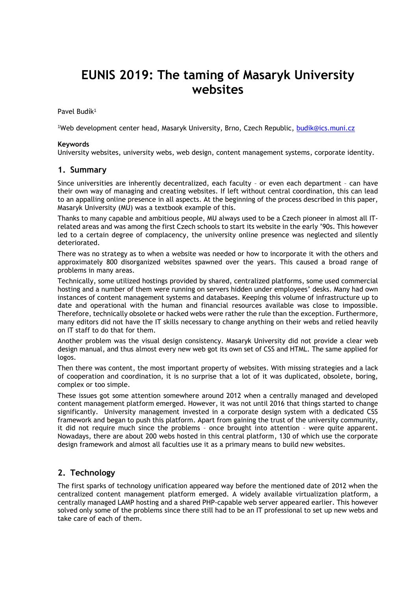# **EUNIS 2019: The taming of Masaryk University websites**

Pavel Budík<sup>1</sup>

<sup>1</sup>Web development center head, Masaryk University, Brno, Czech Republic, [budik@ics.muni.cz](mailto:budik@ics.muni.cz)

#### **Keywords**

University websites, university webs, web design, content management systems, corporate identity.

#### **1. Summary**

Since universities are inherently decentralized, each faculty – or even each department – can have their own way of managing and creating websites. If left without central coordination, this can lead to an appalling online presence in all aspects. At the beginning of the process described in this paper, Masaryk University (MU) was a textbook example of this.

Thanks to many capable and ambitious people, MU always used to be a Czech pioneer in almost all ITrelated areas and was among the first Czech schools to start its website in the early '90s. This however led to a certain degree of complacency, the university online presence was neglected and silently deteriorated.

There was no strategy as to when a website was needed or how to incorporate it with the others and approximately 800 disorganized websites spawned over the years. This caused a broad range of problems in many areas.

Technically, some utilized hostings provided by shared, centralized platforms, some used commercial hosting and a number of them were running on servers hidden under employees' desks. Many had own instances of content management systems and databases. Keeping this volume of infrastructure up to date and operational with the human and financial resources available was close to impossible. Therefore, technically obsolete or hacked webs were rather the rule than the exception. Furthermore, many editors did not have the IT skills necessary to change anything on their webs and relied heavily on IT staff to do that for them.

Another problem was the visual design consistency. Masaryk University did not provide a clear web design manual, and thus almost every new web got its own set of CSS and HTML. The same applied for logos.

Then there was content, the most important property of websites. With missing strategies and a lack of cooperation and coordination, it is no surprise that a lot of it was duplicated, obsolete, boring, complex or too simple.

These issues got some attention somewhere around 2012 when a centrally managed and developed content management platform emerged. However, it was not until 2016 that things started to change significantly. University management invested in a corporate design system with a dedicated CSS framework and began to push this platform. Apart from gaining the trust of the university community, it did not require much since the problems – once brought into attention – were quite apparent. Nowadays, there are about 200 webs hosted in this central platform, 130 of which use the corporate design framework and almost all faculties use it as a primary means to build new websites.

### **2. Technology**

The first sparks of technology unification appeared way before the mentioned date of 2012 when the centralized content management platform emerged. A widely available virtualization platform, a centrally managed LAMP hosting and a shared PHP-capable web server appeared earlier. This however solved only some of the problems since there still had to be an IT professional to set up new webs and take care of each of them.